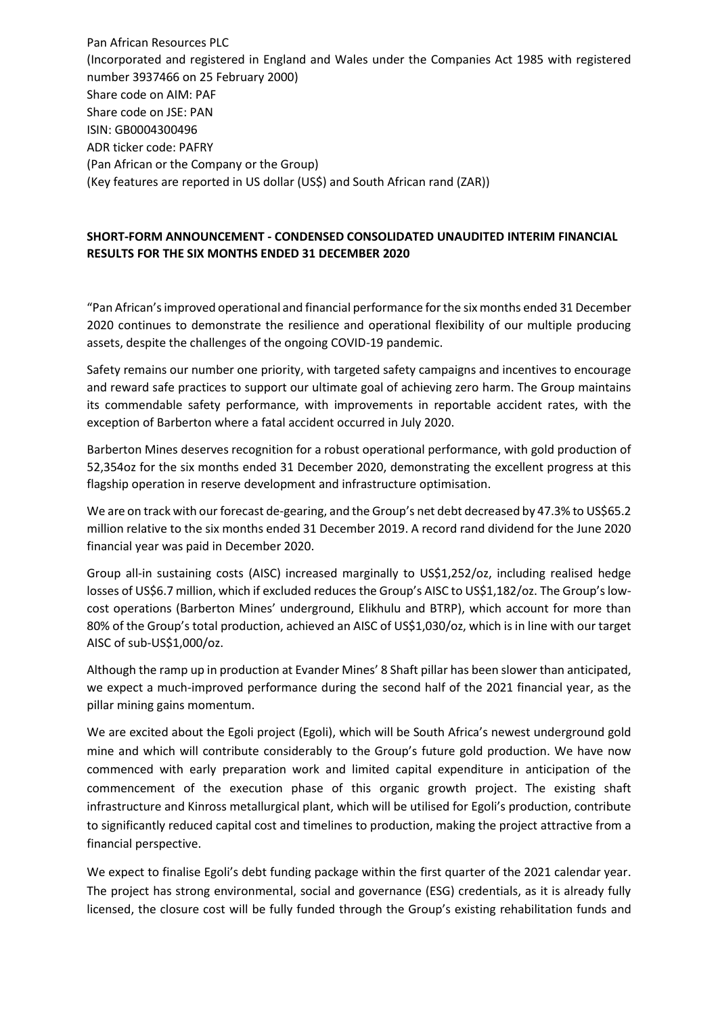Pan African Resources PLC (Incorporated and registered in England and Wales under the Companies Act 1985 with registered number 3937466 on 25 February 2000) Share code on AIM: PAF Share code on JSE: PAN ISIN: GB0004300496 ADR ticker code: PAFRY (Pan African or the Company or the Group) (Key features are reported in US dollar (US\$) and South African rand (ZAR))

## **SHORT-FORM ANNOUNCEMENT - CONDENSED CONSOLIDATED UNAUDITED INTERIM FINANCIAL RESULTS FOR THE SIX MONTHS ENDED 31 DECEMBER 2020**

"Pan African's improved operational and financial performance for the six months ended 31 December 2020 continues to demonstrate the resilience and operational flexibility of our multiple producing assets, despite the challenges of the ongoing COVID-19 pandemic.

Safety remains our number one priority, with targeted safety campaigns and incentives to encourage and reward safe practices to support our ultimate goal of achieving zero harm. The Group maintains its commendable safety performance, with improvements in reportable accident rates, with the exception of Barberton where a fatal accident occurred in July 2020.

Barberton Mines deserves recognition for a robust operational performance, with gold production of 52,354oz for the six months ended 31 December 2020, demonstrating the excellent progress at this flagship operation in reserve development and infrastructure optimisation.

We are on track with our forecast de-gearing, and the Group's net debt decreased by 47.3% to US\$65.2 million relative to the six months ended 31 December 2019. A record rand dividend for the June 2020 financial year was paid in December 2020.

Group all-in sustaining costs (AISC) increased marginally to US\$1,252/oz, including realised hedge losses of US\$6.7 million, which if excluded reduces the Group's AISC to US\$1,182/oz. The Group's lowcost operations (Barberton Mines' underground, Elikhulu and BTRP), which account for more than 80% of the Group's total production, achieved an AISC of US\$1,030/oz, which is in line with our target AISC of sub-US\$1,000/oz.

Although the ramp up in production at Evander Mines' 8 Shaft pillar has been slower than anticipated, we expect a much-improved performance during the second half of the 2021 financial year, as the pillar mining gains momentum.

We are excited about the Egoli project (Egoli), which will be South Africa's newest underground gold mine and which will contribute considerably to the Group's future gold production. We have now commenced with early preparation work and limited capital expenditure in anticipation of the commencement of the execution phase of this organic growth project. The existing shaft infrastructure and Kinross metallurgical plant, which will be utilised for Egoli's production, contribute to significantly reduced capital cost and timelines to production, making the project attractive from a financial perspective.

We expect to finalise Egoli's debt funding package within the first quarter of the 2021 calendar year. The project has strong environmental, social and governance (ESG) credentials, as it is already fully licensed, the closure cost will be fully funded through the Group's existing rehabilitation funds and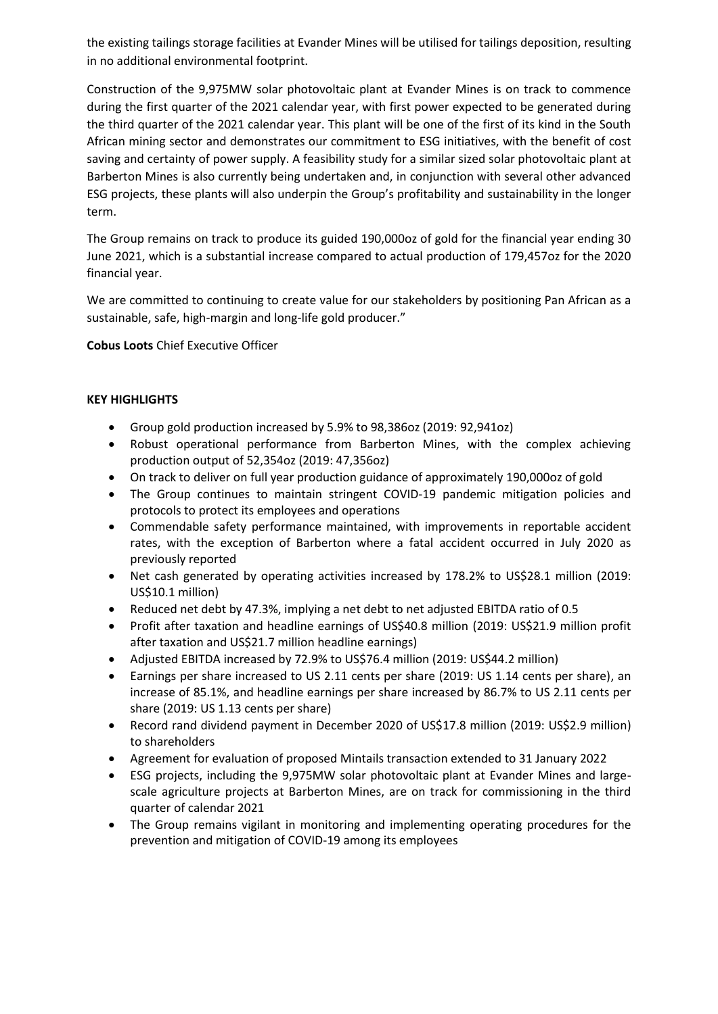the existing tailings storage facilities at Evander Mines will be utilised for tailings deposition, resulting in no additional environmental footprint.

Construction of the 9,975MW solar photovoltaic plant at Evander Mines is on track to commence during the first quarter of the 2021 calendar year, with first power expected to be generated during the third quarter of the 2021 calendar year. This plant will be one of the first of its kind in the South African mining sector and demonstrates our commitment to ESG initiatives, with the benefit of cost saving and certainty of power supply. A feasibility study for a similar sized solar photovoltaic plant at Barberton Mines is also currently being undertaken and, in conjunction with several other advanced ESG projects, these plants will also underpin the Group's profitability and sustainability in the longer term.

The Group remains on track to produce its guided 190,000oz of gold for the financial year ending 30 June 2021, which is a substantial increase compared to actual production of 179,457oz for the 2020 financial year.

We are committed to continuing to create value for our stakeholders by positioning Pan African as a sustainable, safe, high-margin and long-life gold producer."

**Cobus Loots** Chief Executive Officer

## **KEY HIGHLIGHTS**

- Group gold production increased by 5.9% to 98,386oz (2019: 92,941oz)
- Robust operational performance from Barberton Mines, with the complex achieving production output of 52,354oz (2019: 47,356oz)
- On track to deliver on full year production guidance of approximately 190,000oz of gold
- The Group continues to maintain stringent COVID-19 pandemic mitigation policies and protocols to protect its employees and operations
- Commendable safety performance maintained, with improvements in reportable accident rates, with the exception of Barberton where a fatal accident occurred in July 2020 as previously reported
- Net cash generated by operating activities increased by 178.2% to US\$28.1 million (2019: US\$10.1 million)
- Reduced net debt by 47.3%, implying a net debt to net adjusted EBITDA ratio of 0.5
- Profit after taxation and headline earnings of US\$40.8 million (2019: US\$21.9 million profit after taxation and US\$21.7 million headline earnings)
- Adjusted EBITDA increased by 72.9% to US\$76.4 million (2019: US\$44.2 million)
- Earnings per share increased to US 2.11 cents per share (2019: US 1.14 cents per share), an increase of 85.1%, and headline earnings per share increased by 86.7% to US 2.11 cents per share (2019: US 1.13 cents per share)
- Record rand dividend payment in December 2020 of US\$17.8 million (2019: US\$2.9 million) to shareholders
- Agreement for evaluation of proposed Mintails transaction extended to 31 January 2022
- ESG projects, including the 9,975MW solar photovoltaic plant at Evander Mines and largescale agriculture projects at Barberton Mines, are on track for commissioning in the third quarter of calendar 2021
- The Group remains vigilant in monitoring and implementing operating procedures for the prevention and mitigation of COVID-19 among its employees